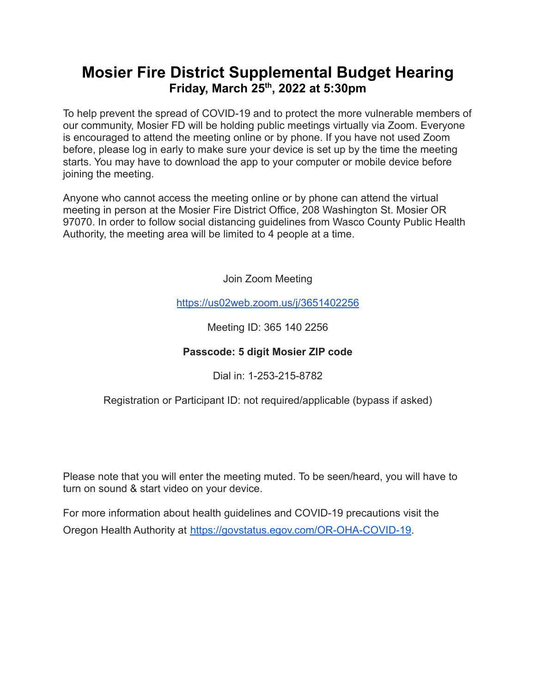## **Mosier Fire District Supplemental Budget Hearing Friday, March 25 th , 2022 at 5:30pm**

To help prevent the spread of COVID-19 and to protect the more vulnerable members of our community, Mosier FD will be holding public meetings virtually via Zoom. Everyone is encouraged to attend the meeting online or by phone. If you have not used Zoom before, please log in early to make sure your device is set up by the time the meeting starts. You may have to download the app to your computer or mobile device before joining the meeting.

Anyone who cannot access the meeting online or by phone can attend the virtual meeting in person at the Mosier Fire District Office, 208 Washington St. Mosier OR 97070. In order to follow social distancing guidelines from Wasco County Public Health Authority, the meeting area will be limited to 4 people at a time.

Join Zoom Meeting

<https://us02web.zoom.us/j/3651402256>

Meeting ID: 365 140 2256

### **Passcode: 5 digit Mosier ZIP code**

Dial in: 1-253-215-8782

Registration or Participant ID: not required/applicable (bypass if asked)

Please note that you will enter the meeting muted. To be seen/heard, you will have to turn on sound & start video on your device.

For more information about health guidelines and COVID-19 precautions visit the Oregon Health Authority at [https://govstatus.egov.com/OR-OHA-COVID-19.](https://govstatus.egov.com/OR-OHA-COVID-19)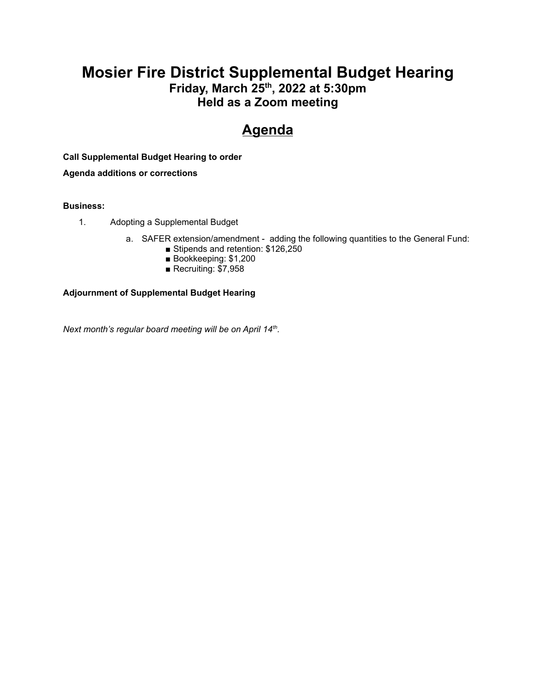### **Mosier Fire District Supplemental Budget Hearing Friday, March 25 th , 2022 at 5:30pm Held as a Zoom meeting**

# **Agenda**

**Call Supplemental Budget Hearing to order**

**Agenda additions or corrections**

#### **Business:**

- 1. Adopting a Supplemental Budget
	- a. SAFER extension/amendment adding the following quantities to the General Fund:
		- Stipends and retention: \$126,250
		- Bookkeeping: \$1,200
		- Recruiting: \$7,958

#### **Adjournment of Supplemental Budget Hearing**

*Next month's regular board meeting will be on April 14 th .*